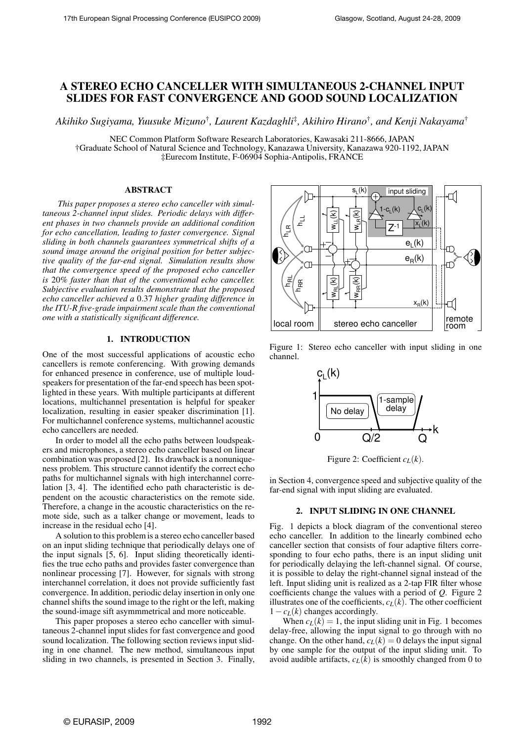# A STEREO ECHO CANCELLER WITH SIMULTANEOUS 2-CHANNEL INPUT SLIDES FOR FAST CONVERGENCE AND GOOD SOUND LOCALIZATION

*Akihiko Sugiyama, Yuusuke Mizuno*† *, Laurent Kazdaghli*‡ *, Akihiro Hirano*† *, and Kenji Nakayama*†

NEC Common Platform Software Research Laboratories, Kawasaki 211-8666, JAPAN †Graduate School of Natural Science and Technology, Kanazawa University, Kanazawa 920-1192, JAPAN ‡Eurecom Institute, F-06904 Sophia-Antipolis, FRANCE

### ABSTRACT

*This paper proposes a stereo echo canceller with simultaneous 2-channel input slides. Periodic delays with different phases in two channels provide an additional condition for echo cancellation, leading to faster convergence. Signal sliding in both channels guarantees symmetrical shifts of a sound image around the original position for better subjective quality of the far-end signal. Simulation results show that the convergence speed of the proposed echo canceller is* 20*% faster than that of the conventional echo canceller. Subjective evaluation results demonstrate that the proposed echo canceller achieved a* 0.37 *higher grading difference in the ITU-R five-grade impairment scale than the conventional one with a statistically significant difference.*

# 1. INTRODUCTION

One of the most successful applications of acoustic echo cancellers is remote conferencing. With growing demands for enhanced presence in conference, use of multiple loudspeakers for presentation of the far-end speech has been spotlighted in these years. With multiple participants at different locations, multichannel presentation is helpful for speaker localization, resulting in easier speaker discrimination [1]. For multichannel conference systems, multichannel acoustic echo cancellers are needed.

In order to model all the echo paths between loudspeakers and microphones, a stereo echo canceller based on linear combination was proposed [2]. Its drawback is a nonuniqueness problem. This structure cannot identify the correct echo paths for multichannel signals with high interchannel correlation [3, 4]. The identified echo path characteristic is dependent on the acoustic characteristics on the remote side. Therefore, a change in the acoustic characteristics on the remote side, such as a talker change or movement, leads to increase in the residual echo [4].

A solution to this problem is a stereo echo canceller based on an input sliding technique that periodically delays one of the input signals [5, 6]. Input sliding theoretically identifies the true echo paths and provides faster convergence than nonlinear processing [7]. However, for signals with strong interchannel correlation, it does not provide sufficiently fast convergence. In addition, periodic delay insertion in only one channel shifts the sound image to the right or the left, making the sound-image sift asymmmetrical and more noticeable.

This paper proposes a stereo echo canceller with simultaneous 2-channel input slides for fast convergence and good sound localization. The following section reviews input sliding in one channel. The new method, simultaneous input sliding in two channels, is presented in Section 3. Finally,



Figure 1: Stereo echo canceller with input sliding in one channel.



Figure 2: Coefficient  $c_L(k)$ .

in Section 4, convergence speed and subjective quality of the far-end signal with input sliding are evaluated.

### 2. INPUT SLIDING IN ONE CHANNEL

Fig. 1 depicts a block diagram of the conventional stereo echo canceller. In addition to the linearly combined echo canceller section that consists of four adaptive filters corresponding to four echo paths, there is an input sliding unit for periodically delaying the left-channel signal. Of course, it is possible to delay the right-channel signal instead of the left. Input sliding unit is realized as a 2-tap FIR filter whose coefficients change the values with a period of *Q*. Figure 2 illustrates one of the coefficients,  $c_L(k)$ . The other coefficient  $1 - c_L(k)$  changes accordingly.

When  $c_L(k) = 1$ , the input sliding unit in Fig. 1 becomes delay-free, allowing the input signal to go through with no change. On the other hand,  $c_L(k) = 0$  delays the input signal by one sample for the output of the input sliding unit. To avoid audible artifacts,  $c_L(k)$  is smoothly changed from 0 to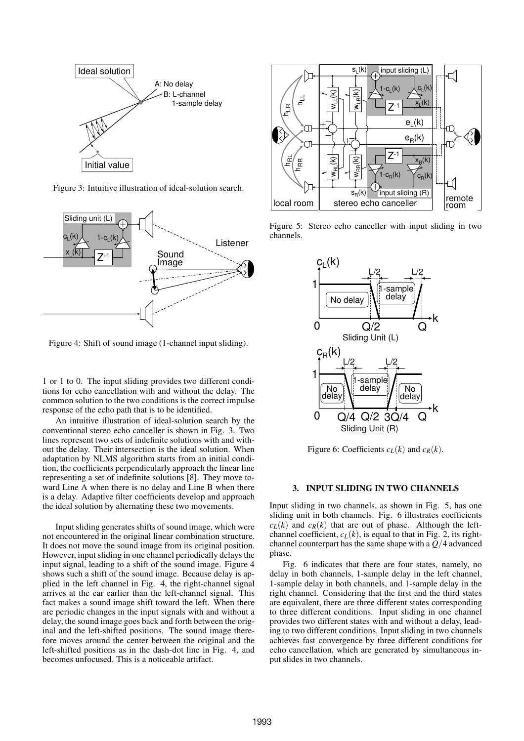

Figure 3: Intuitive illustration of ideal-solution search.



Figure 4: Shift of sound image (1-channel input sliding).

1 or 1 to 0. The input sliding provides two different conditions for echo cancellation with and without the delay. The common solution to the two conditions is the correct impulse response of the echo path that is to be identified.

An intuitive illustration of ideal-solution search by the conventional stereo echo canceller is shown in Fig. 3. Two lines represent two sets of indefinite solutions with and without the delay. Their intersection is the ideal solution. When adaptation by NLMS algorithm starts from an initial condition, the coefficients perpendicularly approach the linear line representing a set of indefinite solutions [8]. They move toward Line A when there is no delay and Line B when there is a delay. Adaptive filter coefficients develop and approach the ideal solution by alternating these two movements.

Input sliding generates shifts of sound image, which were not encountered in the original linear combination structure. It does not move the sound image from its original position. However, input sliding in one channel periodically delays the input signal, leading to a shift of the sound image. Figure 4 shows such a shift of the sound image. Because delay is applied in the left channel in Fig. 4, the right-channel signal arrives at the ear earlier than the left-channel signal. This fact makes a sound image shift toward the left. When there are periodic changes in the input signals with and without a delay, the sound image goes back and forth between the original and the left-shifted positions. The sound image therefore moves around the center between the original and the left-shifted positions as in the dash-dot line in Fig. 4, and becomes unfocused. This is a noticeable artifact.



Figure 5: Stereo echo canceller with input sliding in two channels.



Figure 6: Coefficients  $c_L(k)$  and  $c_R(k)$ .

### 3. INPUT SLIDING IN TWO CHANNELS

Input sliding in two channels, as shown in Fig. 5, has one sliding unit in both channels. Fig. 6 illustrates coefficients  $c_L(k)$  and  $c_R(k)$  that are out of phase. Although the leftchannel coefficient,  $c_L(k)$ , is equal to that in Fig. 2, its rightchannel counterpart has the same shape with a *Q*/4 advanced phase.

Fig. 6 indicates that there are four states, namely, no delay in both channels, 1-sample delay in the left channel, 1-sample delay in both channels, and 1-sample delay in the right channel. Considering that the first and the third states are equivalent, there are three different states corresponding to three different conditions. Input sliding in one channel provides two different states with and without a delay, leading to two different conditions. Input sliding in two channels achieves fast convergence by three different conditions for echo cancellation, which are generated by simultaneous input slides in two channels.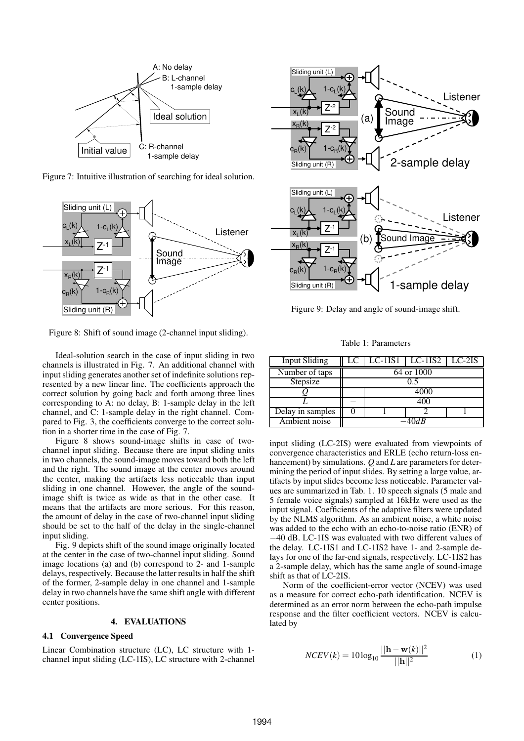

Figure 7: Intuitive illustration of searching for ideal solution.



Figure 8: Shift of sound image (2-channel input sliding).

Ideal-solution search in the case of input sliding in two channels is illustrated in Fig. 7. An additional channel with input sliding generates another set of indefinite solutions represented by a new linear line. The coefficients approach the correct solution by going back and forth among three lines corresponding to A: no delay, B: 1-sample delay in the left channel, and C: 1-sample delay in the right channel. Compared to Fig. 3, the coefficients converge to the correct solution in a shorter time in the case of Fig. 7.

Figure 8 shows sound-image shifts in case of twochannel input sliding. Because there are input sliding units in two channels, the sound-image moves toward both the left and the right. The sound image at the center moves around the center, making the artifacts less noticeable than input sliding in one channel. However, the angle of the soundimage shift is twice as wide as that in the other case. It means that the artifacts are more serious. For this reason, the amount of delay in the case of two-channel input sliding should be set to the half of the delay in the single-channel input sliding.

Fig. 9 depicts shift of the sound image originally located at the center in the case of two-channel input sliding. Sound image locations (a) and (b) correspond to 2- and 1-sample delays, respectively. Because the latter results in half the shift of the former, 2-sample delay in one channel and 1-sample delay in two channels have the same shift angle with different center positions.

# 4. EVALUATIONS

# 4.1 Convergence Speed

Linear Combination structure (LC), LC structure with 1 channel input sliding (LC-1IS), LC structure with 2-channel



Figure 9: Delay and angle of sound-image shift.

Table 1: Parameters

| <b>Input Sliding</b> |            |  | LC $\vert$ LC-1IS1 $\vert$ LC-1IS2 $\vert$ LC-2IS |  |
|----------------------|------------|--|---------------------------------------------------|--|
| Number of taps       | 64 or 1000 |  |                                                   |  |
| Stepsize             |            |  |                                                   |  |
|                      |            |  |                                                   |  |
|                      |            |  |                                                   |  |
| Delay in samples     |            |  |                                                   |  |
| Ambient noise        |            |  |                                                   |  |

input sliding (LC-2IS) were evaluated from viewpoints of convergence characteristics and ERLE (echo return-loss enhancement) by simulations. *Q* and *L* are parameters for determining the period of input slides. By setting a large value, artifacts by input slides become less noticeable. Parameter values are summarized in Tab. 1. 10 speech signals (5 male and 5 female voice signals) sampled at 16kHz were used as the input signal. Coefficients of the adaptive filters were updated by the NLMS algorithm. As an ambient noise, a white noise was added to the echo with an echo-to-noise ratio (ENR) of −40 dB. LC-1IS was evaluated with two different values of the delay. LC-1IS1 and LC-1IS2 have 1- and 2-sample delays for one of the far-end signals, respectively. LC-1IS2 has a 2-sample delay, which has the same angle of sound-image shift as that of LC-2IS.

Norm of the coefficient-error vector (NCEV) was used as a measure for correct echo-path identification. NCEV is determined as an error norm between the echo-path impulse response and the filter coefficient vectors. NCEV is calculated by

$$
NCEV(k) = 10\log_{10}\frac{||\mathbf{h} - \mathbf{w}(k)||^2}{||\mathbf{h}||^2}
$$
 (1)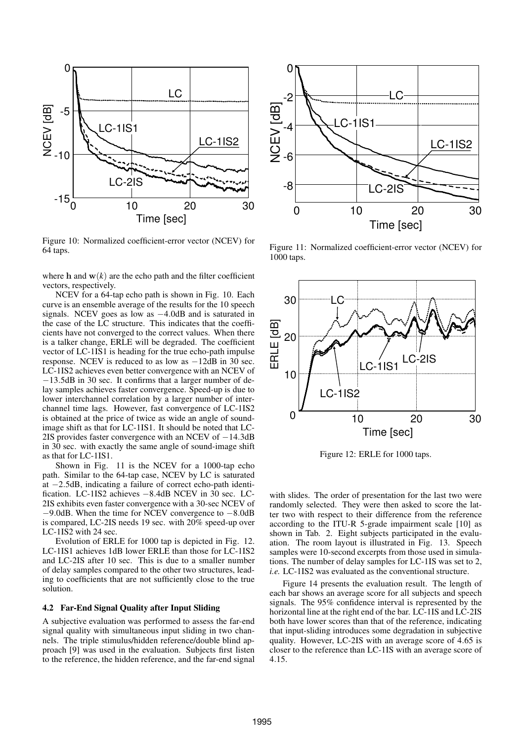

Figure 10: Normalized coefficient-error vector (NCEV) for 64 taps.

where h and  $w(k)$  are the echo path and the filter coefficient vectors, respectively.

NCEV for a 64-tap echo path is shown in Fig. 10. Each curve is an ensemble average of the results for the 10 speech signals. NCEV goes as low as −4.0dB and is saturated in the case of the LC structure. This indicates that the coefficients have not converged to the correct values. When there is a talker change, ERLE will be degraded. The coefficient vector of LC-1IS1 is heading for the true echo-path impulse response. NCEV is reduced to as low as  $-12\overline{dB}$  in 30 sec. LC-1IS2 achieves even better convergence with an NCEV of −13.5dB in 30 sec. It confirms that a larger number of delay samples achieves faster convergence. Speed-up is due to lower interchannel correlation by a larger number of interchannel time lags. However, fast convergence of LC-1IS2 is obtained at the price of twice as wide an angle of soundimage shift as that for LC-1IS1. It should be noted that LC-2IS provides faster convergence with an NCEV of −14.3dB in 30 sec. with exactly the same angle of sound-image shift as that for LC-1IS1.

Shown in Fig. 11 is the NCEV for a 1000-tap echo path. Similar to the 64-tap case, NCEV by LC is saturated at −2.5dB, indicating a failure of correct echo-path identification. LC-1IS2 achieves −8.4dB NCEV in 30 sec. LC-2IS exhibits even faster convergence with a 30-sec NCEV of −9.0dB. When the time for NCEV convergence to −8.0dB is compared, LC-2IS needs 19 sec. with 20% speed-up over LC-1IS2 with 24 sec.

Evolution of ERLE for 1000 tap is depicted in Fig. 12. LC-1IS1 achieves 1dB lower ERLE than those for LC-1IS2 and LC-2IS after 10 sec. This is due to a smaller number of delay samples compared to the other two structures, leading to coefficients that are not sufficiently close to the true solution.

### 4.2 Far-End Signal Quality after Input Sliding

A subjective evaluation was performed to assess the far-end signal quality with simultaneous input sliding in two channels. The triple stimulus/hidden reference/double blind approach [9] was used in the evaluation. Subjects first listen to the reference, the hidden reference, and the far-end signal



Figure 11: Normalized coefficient-error vector (NCEV) for 1000 taps.



Figure 12: ERLE for 1000 taps.

with slides. The order of presentation for the last two were randomly selected. They were then asked to score the latter two with respect to their difference from the reference according to the ITU-R 5-grade impairment scale [10] as shown in Tab. 2. Eight subjects participated in the evaluation. The room layout is illustrated in Fig. 13. Speech samples were 10-second excerpts from those used in simulations. The number of delay samples for LC-1IS was set to 2, *i.e.* LC-1IS2 was evaluated as the conventional structure.

Figure 14 presents the evaluation result. The length of each bar shows an average score for all subjects and speech signals. The 95% confidence interval is represented by the horizontal line at the right end of the bar. LC-1IS and LC-2IS both have lower scores than that of the reference, indicating that input-sliding introduces some degradation in subjective quality. However, LC-2IS with an average score of 4.65 is closer to the reference than LC-1IS with an average score of 4.15.